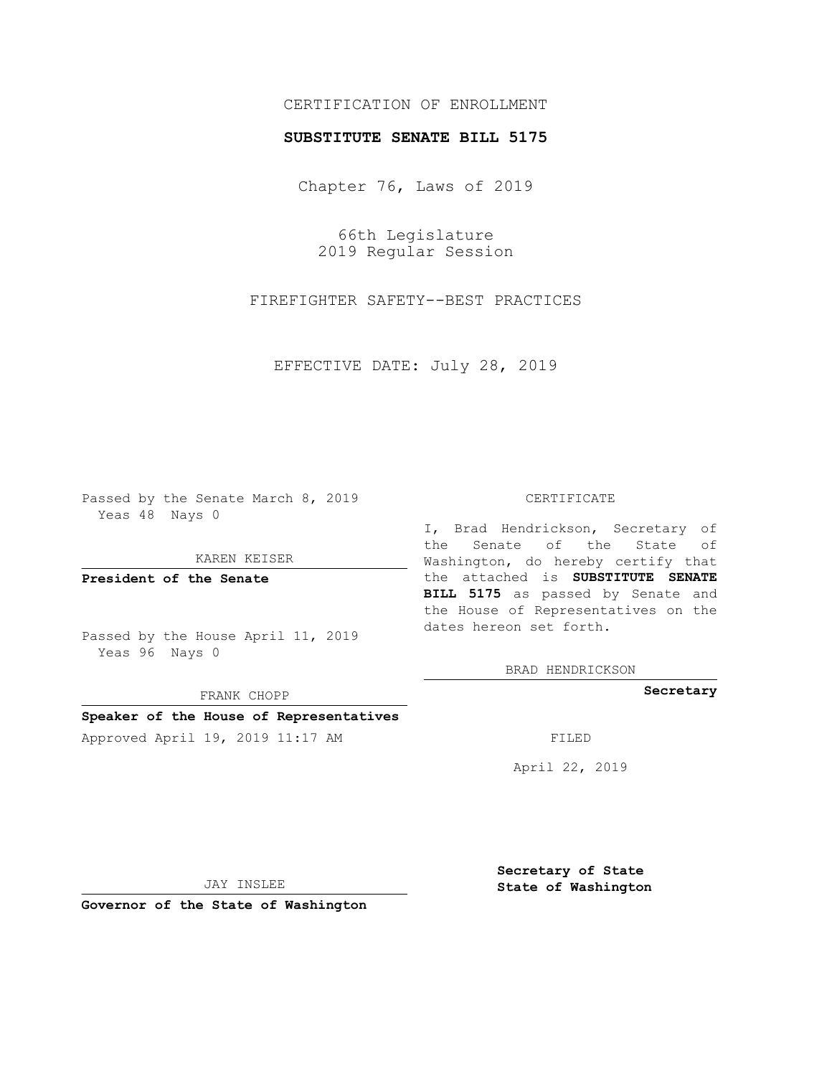# CERTIFICATION OF ENROLLMENT

## **SUBSTITUTE SENATE BILL 5175**

Chapter 76, Laws of 2019

66th Legislature 2019 Regular Session

FIREFIGHTER SAFETY--BEST PRACTICES

EFFECTIVE DATE: July 28, 2019

Passed by the Senate March 8, 2019 Yeas 48 Nays 0

KAREN KEISER

**President of the Senate**

Passed by the House April 11, 2019 Yeas 96 Nays 0

FRANK CHOPP

### **Speaker of the House of Representatives**

Approved April 19, 2019 11:17 AM FILED

#### CERTIFICATE

I, Brad Hendrickson, Secretary of the Senate of the State of Washington, do hereby certify that the attached is **SUBSTITUTE SENATE BILL 5175** as passed by Senate and the House of Representatives on the dates hereon set forth.

BRAD HENDRICKSON

**Secretary**

April 22, 2019

JAY INSLEE

**Governor of the State of Washington**

**Secretary of State State of Washington**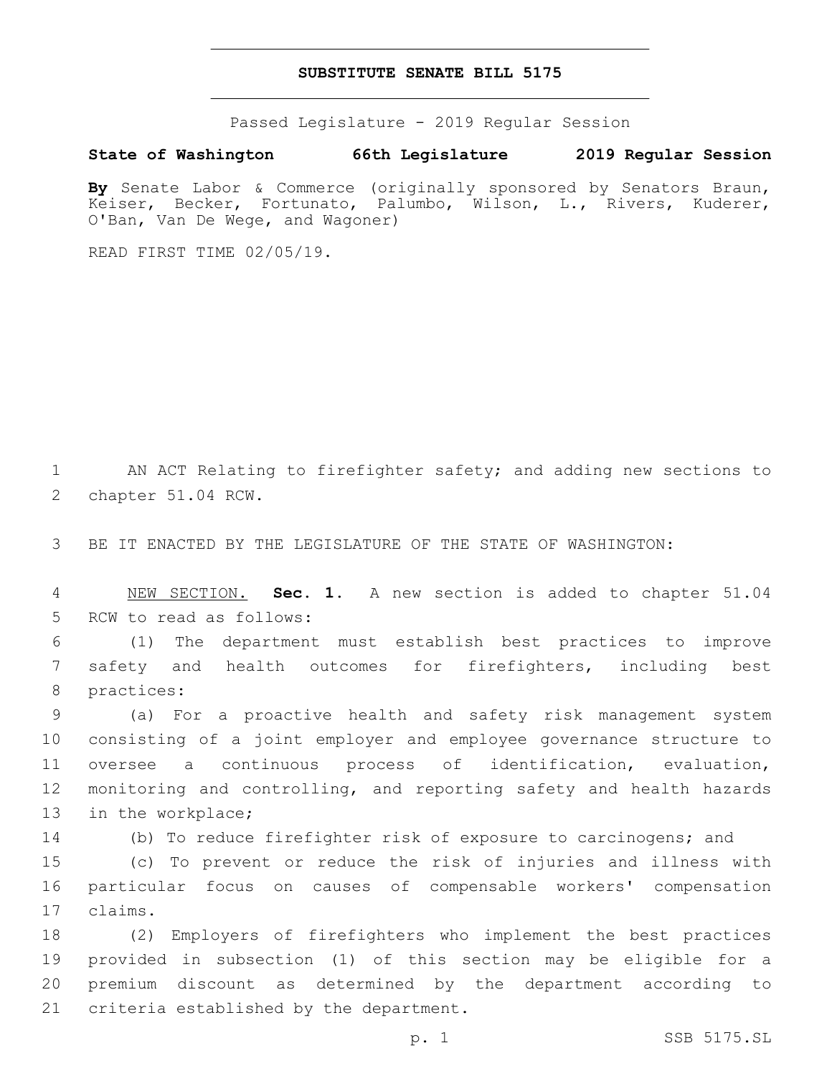### **SUBSTITUTE SENATE BILL 5175**

Passed Legislature - 2019 Regular Session

**State of Washington 66th Legislature 2019 Regular Session**

By Senate Labor & Commerce (originally sponsored by Senators Braun, Keiser, Becker, Fortunato, Palumbo, Wilson, L., Rivers, Kuderer, O'Ban, Van De Wege, and Wagoner)

READ FIRST TIME 02/05/19.

1 AN ACT Relating to firefighter safety; and adding new sections to 2 chapter 51.04 RCW.

3 BE IT ENACTED BY THE LEGISLATURE OF THE STATE OF WASHINGTON:

4 NEW SECTION. **Sec. 1.** A new section is added to chapter 51.04 5 RCW to read as follows:

6 (1) The department must establish best practices to improve 7 safety and health outcomes for firefighters, including best 8 practices:

 (a) For a proactive health and safety risk management system consisting of a joint employer and employee governance structure to oversee a continuous process of identification, evaluation, monitoring and controlling, and reporting safety and health hazards 13 in the workplace;

14 (b) To reduce firefighter risk of exposure to carcinogens; and

15 (c) To prevent or reduce the risk of injuries and illness with 16 particular focus on causes of compensable workers' compensation claims.17

 (2) Employers of firefighters who implement the best practices provided in subsection (1) of this section may be eligible for a premium discount as determined by the department according to 21 criteria established by the department.